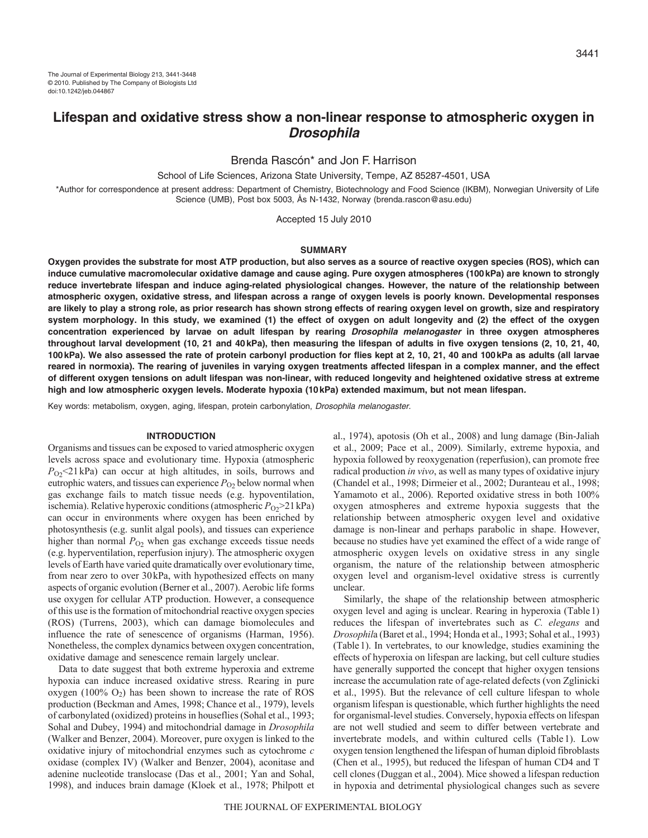# **Lifespan and oxidative stress show a non-linear response to atmospheric oxygen in Drosophila**

Brenda Rascón\* and Jon F. Harrison

School of Life Sciences, Arizona State University, Tempe, AZ 85287-4501, USA

\*Author for correspondence at present address: Department of Chemistry, Biotechnology and Food Science (IKBM), Norwegian University of Life Science (UMB), Post box 5003, Ås N-1432, Norway (brenda.rascon@asu.edu)

Accepted 15 July 2010

#### **SUMMARY**

**Oxygen provides the substrate for most ATP production, but also serves as a source of reactive oxygen species (ROS), which can induce cumulative macromolecular oxidative damage and cause aging. Pure oxygen atmospheres (100kPa) are known to strongly reduce invertebrate lifespan and induce aging-related physiological changes. However, the nature of the relationship between atmospheric oxygen, oxidative stress, and lifespan across a range of oxygen levels is poorly known. Developmental responses are likely to play a strong role, as prior research has shown strong effects of rearing oxygen level on growth, size and respiratory system morphology. In this study, we examined (1) the effect of oxygen on adult longevity and (2) the effect of the oxygen concentration experienced by larvae on adult lifespan by rearing Drosophila melanogaster in three oxygen atmospheres throughout larval development (10, 21 and 40kPa), then measuring the lifespan of adults in five oxygen tensions (2, 10, 21, 40, 100kPa). We also assessed the rate of protein carbonyl production for flies kept at 2, 10, 21, 40 and 100kPa as adults (all larvae reared in normoxia). The rearing of juveniles in varying oxygen treatments affected lifespan in a complex manner, and the effect of different oxygen tensions on adult lifespan was non-linear, with reduced longevity and heightened oxidative stress at extreme high and low atmospheric oxygen levels. Moderate hypoxia (10kPa) extended maximum, but not mean lifespan.**

Key words: metabolism, oxygen, aging, lifespan, protein carbonylation, Drosophila melanogaster.

### **INTRODUCTION**

Organisms and tissues can be exposed to varied atmospheric oxygen levels across space and evolutionary time. Hypoxia (atmospheric  $P_{\rm O2}$  (21 kPa) can occur at high altitudes, in soils, burrows and eutrophic waters, and tissues can experience  $P_{O2}$  below normal when gas exchange fails to match tissue needs (e.g. hypoventilation, ischemia). Relative hyperoxic conditions (atmospheric  $P_{O2}$ >21kPa) can occur in environments where oxygen has been enriched by photosynthesis (e.g. sunlit algal pools), and tissues can experience higher than normal  $P_{O2}$  when gas exchange exceeds tissue needs (e.g. hyperventilation, reperfusion injury). The atmospheric oxygen levels of Earth have varied quite dramatically over evolutionary time, from near zero to over 30kPa, with hypothesized effects on many aspects of organic evolution (Berner et al., 2007). Aerobic life forms use oxygen for cellular ATP production. However, a consequence of this use is the formation of mitochondrial reactive oxygen species (ROS) (Turrens, 2003), which can damage biomolecules and influence the rate of senescence of organisms (Harman, 1956). Nonetheless, the complex dynamics between oxygen concentration, oxidative damage and senescence remain largely unclear.

Data to date suggest that both extreme hyperoxia and extreme hypoxia can induce increased oxidative stress. Rearing in pure oxygen (100%  $O_2$ ) has been shown to increase the rate of ROS production (Beckman and Ames, 1998; Chance et al., 1979), levels of carbonylated (oxidized) proteins in houseflies (Sohal et al., 1993; Sohal and Dubey, 1994) and mitochondrial damage in *Drosophila* (Walker and Benzer, 2004). Moreover, pure oxygen is linked to the oxidative injury of mitochondrial enzymes such as cytochrome *c* oxidase (complex IV) (Walker and Benzer, 2004), aconitase and adenine nucleotide translocase (Das et al., 2001; Yan and Sohal, 1998), and induces brain damage (Kloek et al., 1978; Philpott et al., 1974), apotosis (Oh et al., 2008) and lung damage (Bin-Jaliah et al., 2009; Pace et al., 2009). Similarly, extreme hypoxia, and hypoxia followed by reoxygenation (reperfusion), can promote free radical production *in vivo*, as well as many types of oxidative injury (Chandel et al., 1998; Dirmeier et al., 2002; Duranteau et al., 1998; Yamamoto et al., 2006). Reported oxidative stress in both 100% oxygen atmospheres and extreme hypoxia suggests that the relationship between atmospheric oxygen level and oxidative damage is non-linear and perhaps parabolic in shape. However, because no studies have yet examined the effect of a wide range of atmospheric oxygen levels on oxidative stress in any single organism, the nature of the relationship between atmospheric oxygen level and organism-level oxidative stress is currently unclear.

Similarly, the shape of the relationship between atmospheric oxygen level and aging is unclear. Rearing in hyperoxia (Table1) reduces the lifespan of invertebrates such as *C. elegans* and *Drosophil*a (Baret et al., 1994; Honda et al., 1993; Sohal et al., 1993) (Table1). In vertebrates, to our knowledge, studies examining the effects of hyperoxia on lifespan are lacking, but cell culture studies have generally supported the concept that higher oxygen tensions increase the accumulation rate of age-related defects (von Zglinicki et al., 1995). But the relevance of cell culture lifespan to whole organism lifespan is questionable, which further highlights the need for organismal-level studies. Conversely, hypoxia effects on lifespan are not well studied and seem to differ between vertebrate and invertebrate models, and within cultured cells (Table 1). Low oxygen tension lengthened the lifespan of human diploid fibroblasts (Chen et al., 1995), but reduced the lifespan of human CD4 and T cell clones (Duggan et al., 2004). Mice showed a lifespan reduction in hypoxia and detrimental physiological changes such as severe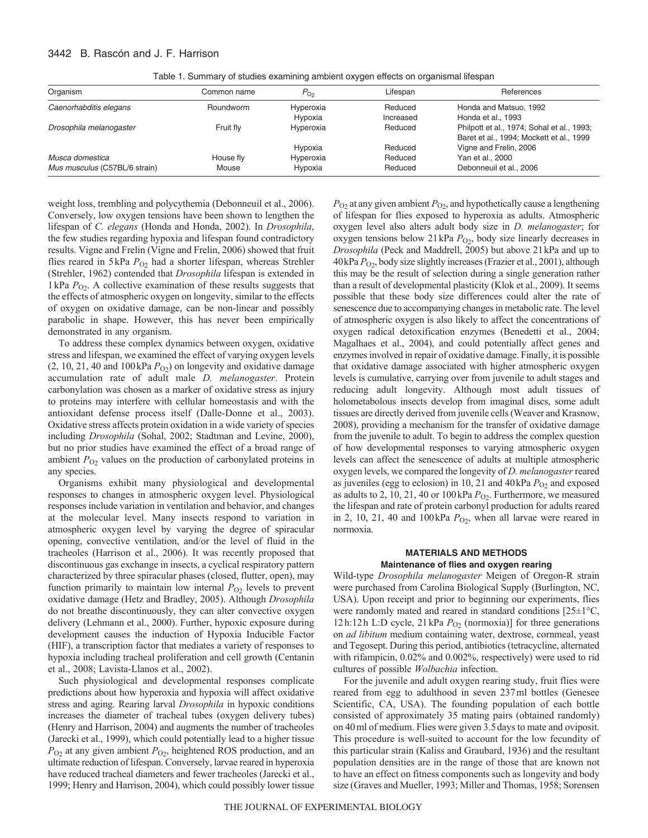# 3442 B. Rascón and J. F. Harrison

| Organism                      | Common name | $P_{\text{O}_2}$ | Lifespan  | References                                 |
|-------------------------------|-------------|------------------|-----------|--------------------------------------------|
| Caenorhabditis elegans        | Roundworm   | Hyperoxia        | Reduced   | Honda and Matsuo, 1992                     |
|                               |             | Hypoxia          | Increased | Honda et al., 1993                         |
| Drosophila melanogaster       | Fruit fly   | Hyperoxia        | Reduced   | Philpott et al., 1974; Sohal et al., 1993; |
|                               |             |                  |           | Baret et al., 1994; Mockett et al., 1999   |
|                               |             | Hypoxia          | Reduced   | Vigne and Frelin, 2006                     |
| Musca domestica               | House fly   | Hyperoxia        | Reduced   | Yan et al., 2000                           |
| Mus musculus (C57BL/6 strain) | Mouse       | Hypoxia          | Reduced   | Debonneuil et al., 2006                    |

Table 1. Summary of studies examining ambient oxygen effects on organismal lifespan

weight loss, trembling and polycythemia (Debonneuil et al., 2006). Conversely, low oxygen tensions have been shown to lengthen the lifespan of *C. elegans* (Honda and Honda, 2002). In *Drosophila*, the few studies regarding hypoxia and lifespan found contradictory results. Vigne and Frelin (Vigne and Frelin, 2006) showed that fruit flies reared in 5kPa  $P_{O2}$  had a shorter lifespan, whereas Strehler (Strehler, 1962) contended that *Drosophila* lifespan is extended in 1kPa  $P_{\text{O}_2}$ . A collective examination of these results suggests that the effects of atmospheric oxygen on longevity, similar to the effects of oxygen on oxidative damage, can be non-linear and possibly parabolic in shape. However, this has never been empirically demonstrated in any organism.

To address these complex dynamics between oxygen, oxidative stress and lifespan, we examined the effect of varying oxygen levels  $(2, 10, 21, 40$  and  $100$  kPa  $P<sub>O2</sub>$ ) on longevity and oxidative damage accumulation rate of adult male *D. melanogaster*. Protein carbonylation was chosen as a marker of oxidative stress as injury to proteins may interfere with cellular homeostasis and with the antioxidant defense process itself (Dalle-Donne et al., 2003). Oxidative stress affects protein oxidation in a wide variety of species including *Drosophila* (Sohal, 2002; Stadtman and Levine, 2000), but no prior studies have examined the effect of a broad range of ambient  $P_{O_2}$  values on the production of carbonylated proteins in any species.

Organisms exhibit many physiological and developmental responses to changes in atmospheric oxygen level. Physiological responses include variation in ventilation and behavior, and changes at the molecular level. Many insects respond to variation in atmospheric oxygen level by varying the degree of spiracular opening, convective ventilation, and/or the level of fluid in the tracheoles (Harrison et al., 2006). It was recently proposed that discontinuous gas exchange in insects, a cyclical respiratory pattern characterized by three spiracular phases (closed, flutter, open), may function primarily to maintain low internal  $P_{O_2}$  levels to prevent oxidative damage (Hetz and Bradley, 2005). Although *Drosophila* do not breathe discontinuously, they can alter convective oxygen delivery (Lehmann et al., 2000). Further, hypoxic exposure during development causes the induction of Hypoxia Inducible Factor (HIF), a transcription factor that mediates a variety of responses to hypoxia including tracheal proliferation and cell growth (Centanin et al., 2008; Lavista-Llanos et al., 2002).

Such physiological and developmental responses complicate predictions about how hyperoxia and hypoxia will affect oxidative stress and aging. Rearing larval *Drosophila* in hypoxic conditions increases the diameter of tracheal tubes (oxygen delivery tubes) (Henry and Harrison, 2004) and augments the number of tracheoles (Jarecki et al., 1999), which could potentially lead to a higher tissue *P*O2 at any given ambient *P*O2, heightened ROS production, and an ultimate reduction of lifespan. Conversely, larvae reared in hyperoxia have reduced tracheal diameters and fewer tracheoles (Jarecki et al., 1999; Henry and Harrison, 2004), which could possibly lower tissue  $P_{\text{O}2}$  at any given ambient  $P_{\text{O}2}$ , and hypothetically cause a lengthening of lifespan for flies exposed to hyperoxia as adults. Atmospheric oxygen level also alters adult body size in *D. melanogaster*; for oxygen tensions below 21 kPa  $P_{O2}$ , body size linearly decreases in *Drosophila* (Peck and Maddrell, 2005) but above 21kPa and up to 40kPa  $P_{02}$ , body size slightly increases (Frazier et al., 2001), although this may be the result of selection during a single generation rather than a result of developmental plasticity (Klok et al., 2009). It seems possible that these body size differences could alter the rate of senescence due to accompanying changes in metabolic rate. The level of atmospheric oxygen is also likely to affect the concentrations of oxygen radical detoxification enzymes (Benedetti et al., 2004; Magalhaes et al., 2004), and could potentially affect genes and enzymes involved in repair of oxidative damage. Finally, it is possible that oxidative damage associated with higher atmospheric oxygen levels is cumulative, carrying over from juvenile to adult stages and reducing adult longevity. Although most adult tissues of holometabolous insects develop from imaginal discs, some adult tissues are directly derived from juvenile cells (Weaver and Krasnow, 2008), providing a mechanism for the transfer of oxidative damage from the juvenile to adult. To begin to address the complex question of how developmental responses to varying atmospheric oxygen levels can affect the senescence of adults at multiple atmospheric oxygen levels, we compared the longevity of *D. melanogaster*reared as juveniles (egg to eclosion) in 10, 21 and 40kPa  $P<sub>O2</sub>$  and exposed as adults to 2, 10, 21, 40 or 100 kPa  $P_{O2}$ . Furthermore, we measured the lifespan and rate of protein carbonyl production for adults reared in 2, 10, 21, 40 and  $100\,\text{kPa}$   $P_{O2}$ , when all larvae were reared in normoxia.

# **MATERIALS AND METHODS Maintenance of flies and oxygen rearing**

Wild-type *Drosophila melanogaster* Meigen of Oregon-R strain were purchased from Carolina Biological Supply (Burlington, NC, USA). Upon receipt and prior to beginning our experiments, flies were randomly mated and reared in standard conditions [25±1°C, 12h:12h L:D cycle, 21kPa  $P_{O_2}$  (normoxia)] for three generations on *ad libitum* medium containing water, dextrose, cornmeal, yeast and Tegosept. During this period, antibiotics (tetracycline, alternated with rifampicin, 0.02% and 0.002%, respectively) were used to rid cultures of possible *Wolbachia* infection.

For the juvenile and adult oxygen rearing study, fruit flies were reared from egg to adulthood in seven 237ml bottles (Genesee Scientific, CA, USA). The founding population of each bottle consisted of approximately 35 mating pairs (obtained randomly) on 40ml of medium. Flies were given 3.5days to mate and oviposit. This procedure is well-suited to account for the low fecundity of this particular strain (Kaliss and Graubard, 1936) and the resultant population densities are in the range of those that are known not to have an effect on fitness components such as longevity and body size (Graves and Mueller, 1993; Miller and Thomas, 1958; Sorensen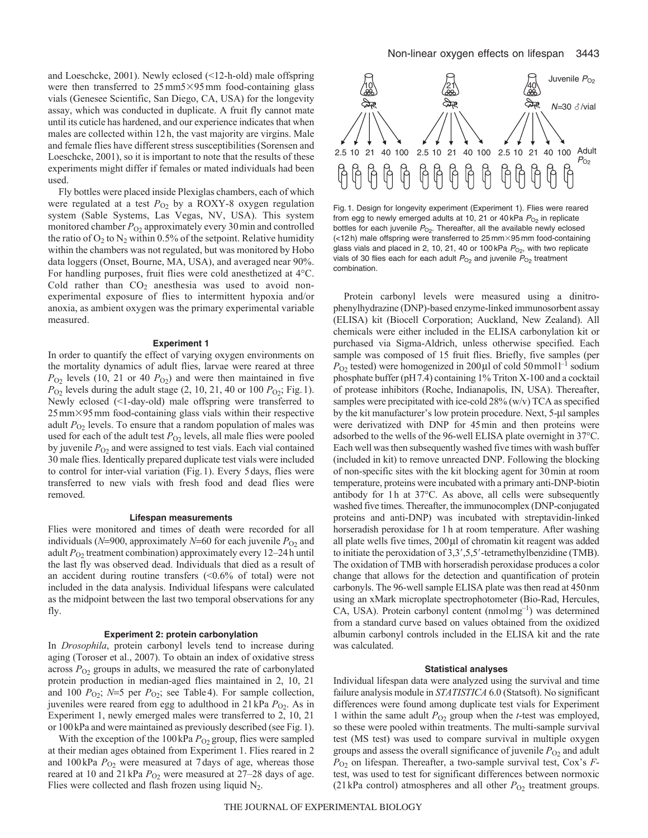and Loeschcke, 2001). Newly eclosed (<12-h-old) male offspring were then transferred to  $25 \text{ mm}5 \times 95 \text{ mm}$  food-containing glass vials (Genesee Scientific, San Diego, CA, USA) for the longevity assay, which was conducted in duplicate. A fruit fly cannot mate until its cuticle has hardened, and our experience indicates that when males are collected within 12h, the vast majority are virgins. Male and female flies have different stress susceptibilities (Sorensen and Loeschcke, 2001), so it is important to note that the results of these experiments might differ if females or mated individuals had been used.

Fly bottles were placed inside Plexiglas chambers, each of which were regulated at a test  $P_{O_2}$  by a ROXY-8 oxygen regulation system (Sable Systems, Las Vegas, NV, USA). This system monitored chamber  $P_{O2}$  approximately every 30 min and controlled the ratio of  $O_2$  to  $N_2$  within 0.5% of the setpoint. Relative humidity within the chambers was not regulated, but was monitored by Hobo data loggers (Onset, Bourne, MA, USA), and averaged near 90%. For handling purposes, fruit flies were cold anesthetized at 4°C. Cold rather than  $CO<sub>2</sub>$  anesthesia was used to avoid nonexperimental exposure of flies to intermittent hypoxia and/or anoxia, as ambient oxygen was the primary experimental variable measured.

#### **Experiment 1**

In order to quantify the effect of varying oxygen environments on the mortality dynamics of adult flies, larvae were reared at three  $P_{O_2}$  levels (10, 21 or 40  $P_{O_2}$ ) and were then maintained in five  $P_{O_2}$  levels during the adult stage (2, 10, 21, 40 or 100  $P_{O_2}$ ; Fig. 1). Newly eclosed (<1-day-old) male offspring were transferred to 25mm-95mm food-containing glass vials within their respective adult *P*<sub>O2</sub> levels. To ensure that a random population of males was used for each of the adult test  $P_{O2}$  levels, all male flies were pooled by juvenile  $P_{O_2}$  and were assigned to test vials. Each vial contained 30 male flies. Identically prepared duplicate test vials were included to control for inter-vial variation (Fig.1). Every 5days, flies were transferred to new vials with fresh food and dead flies were removed.

#### **Lifespan measurements**

Flies were monitored and times of death were recorded for all individuals ( $N=900$ , approximately  $N=60$  for each juvenile  $P_{O2}$  and adult P<sub>O2</sub> treatment combination) approximately every 12–24h until the last fly was observed dead. Individuals that died as a result of an accident during routine transfers (<0.6% of total) were not included in the data analysis. Individual lifespans were calculated as the midpoint between the last two temporal observations for any fly.

#### **Experiment 2: protein carbonylation**

In *Drosophila*, protein carbonyl levels tend to increase during aging (Toroser et al., 2007). To obtain an index of oxidative stress across  $P_{O_2}$  groups in adults, we measured the rate of carbonylated protein production in median-aged flies maintained in 2, 10, 21 and 100  $P_{O_2}$ ;  $N=5$  per  $P_{O_2}$ ; see Table 4). For sample collection, juveniles were reared from egg to adulthood in 21 kPa  $P_{O_2}$ . As in Experiment 1, newly emerged males were transferred to 2, 10, 21 or 100kPa and were maintained as previously described (see Fig.1).

With the exception of the 100 kPa  $P_{O_2}$  group, flies were sampled at their median ages obtained from Experiment 1. Flies reared in 2 and  $100 \text{ kPa } P_{O2}$  were measured at 7 days of age, whereas those reared at 10 and 21 kPa  $P_{O_2}$  were measured at 27–28 days of age. Flies were collected and flash frozen using liquid  $N_2$ .



Fig. 1. Design for longevity experiment (Experiment 1). Flies were reared from egg to newly emerged adults at 10, 21 or 40 kPa  $P_{O_2}$  in replicate bottles for each juvenile  $P_{Q2}$ . Thereafter, all the available newly eclosed (<12 h) male offspring were transferred to 25 mm-95 mm food-containing glass vials and placed in 2, 10, 21, 40 or 100 kPa  $P_{\text{O}_2}$ , with two replicate vials of 30 flies each for each adult  $P_{O_2}$  and juvenile  $P_{O_2}$  treatment combination.

Protein carbonyl levels were measured using a dinitrophenylhydrazine (DNP)-based enzyme-linked immunosorbent assay (ELISA) kit (Biocell Corporation; Auckland, New Zealand). All chemicals were either included in the ELISA carbonylation kit or purchased via Sigma-Aldrich, unless otherwise specified. Each sample was composed of 15 fruit flies. Briefly, five samples (per  $P_{\text{O2}}$  tested) were homogenized in 200 µl of cold 50 mmol<sup>-1</sup> sodium phosphate buffer (pH7.4) containing 1% Triton X-100 and a cocktail of protease inhibitors (Roche, Indianapolis, IN, USA). Thereafter, samples were precipitated with ice-cold 28% (w/v) TCA as specified by the kit manufacturer's low protein procedure. Next, 5-µl samples were derivatized with DNP for 45min and then proteins were adsorbed to the wells of the 96-well ELISA plate overnight in 37°C. Each well was then subsequently washed five times with wash buffer (included in kit) to remove unreacted DNP. Following the blocking of non-specific sites with the kit blocking agent for 30min at room temperature, proteins were incubated with a primary anti-DNP-biotin antibody for 1h at 37°C. As above, all cells were subsequently washed five times. Thereafter, the immunocomplex (DNP-conjugated proteins and anti-DNP) was incubated with streptavidin-linked horseradish peroxidase for 1h at room temperature. After washing all plate wells five times,  $200 \mu l$  of chromatin kit reagent was added to initiate the peroxidation of  $3,3',5,5'$ -tetramethylbenzidine (TMB). The oxidation of TMB with horseradish peroxidase produces a color change that allows for the detection and quantification of protein carbonyls. The 96-well sample ELISA plate was then read at 450nm using an xMark microplate spectrophotometer (Bio-Rad, Hercules,  $CA$ , USA). Protein carbonyl content (nmolmg<sup>-1</sup>) was determined from a standard curve based on values obtained from the oxidized albumin carbonyl controls included in the ELISA kit and the rate was calculated.

#### **Statistical analyses**

Individual lifespan data were analyzed using the survival and time failure analysis module in *STATISTICA* 6.0 (Statsoft). No significant differences were found among duplicate test vials for Experiment 1 within the same adult  $P_{O2}$  group when the *t*-test was employed, so these were pooled within treatments. The multi-sample survival test (MS test) was used to compare survival in multiple oxygen groups and assess the overall significance of juvenile  $P_{O2}$  and adult *P*O2 on lifespan. Thereafter, a two-sample survival test, Cox's *F*test, was used to test for significant differences between normoxic (21 kPa control) atmospheres and all other  $P_{O2}$  treatment groups.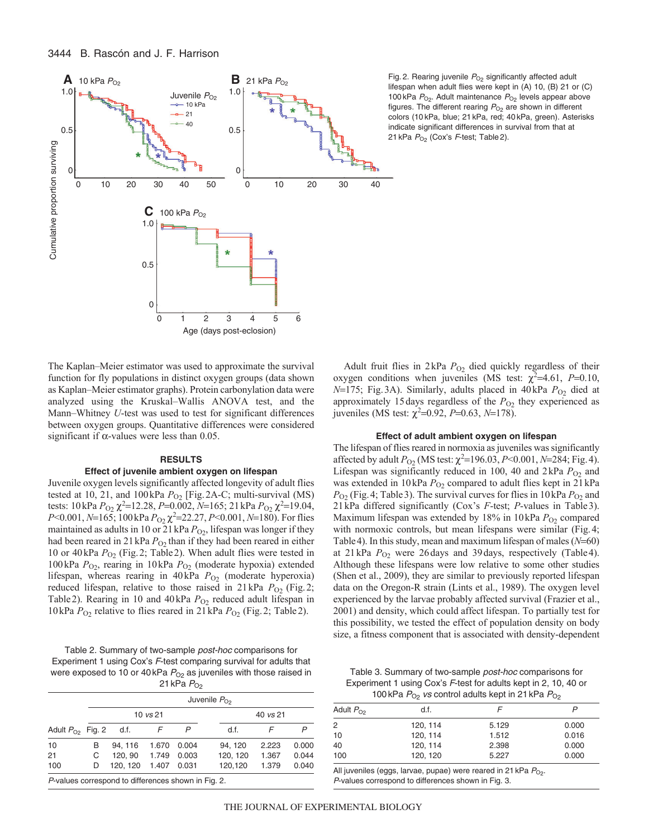

Fig. 2. Rearing juvenile  $P_{O2}$  significantly affected adult lifespan when adult flies were kept in (A) 10, (B) 21 or (C) 100 kPa  $P_{O_2}$ . Adult maintenance  $P_{O_2}$  levels appear above figures. The different rearing  $P_{O_2}$  are shown in different colors (10 kPa, blue; 21 kPa, red; 40 kPa, green). Asterisks indicate significant differences in survival from that at 21 kPa  $P_{O<sub>2</sub>}$  (Cox's F-test; Table 2).

The Kaplan–Meier estimator was used to approximate the survival function for fly populations in distinct oxygen groups (data shown as Kaplan–Meier estimator graphs). Protein carbonylation data were analyzed using the Kruskal–Wallis ANOVA test, and the Mann–Whitney *U*-test was used to test for significant differences between oxygen groups. Quantitative differences were considered significant if  $\alpha$ -values were less than 0.05.

# **RESULTS**

#### **Effect of juvenile ambient oxygen on lifespan**

Juvenile oxygen levels significantly affected longevity of adult flies tested at 10, 21, and 100kPa  $P_{O_2}$  [Fig. 2A-C; multi-survival (MS) tests: 10 kPa *P*<sub>O2</sub>  $\chi^2$ =12.28, *P*=0.002, *N*=165; 21 kPa *P*<sub>O2</sub>  $\chi^2$ =19.04, *P*<0.001, *N*=165; 100 kPa *P*<sub>O2</sub>  $\chi$ <sup>2</sup>=22.27, *P*<0.001, *N*=180). For flies maintained as adults in 10 or 21 kPa  $P_{O_2}$ , lifespan was longer if they had been reared in 21 kPa  $P_{O2}$  than if they had been reared in either 10 or 40kPa  $P_{O_2}$  (Fig. 2; Table 2). When adult flies were tested in 100kPa *P*O2, rearing in 10kPa *P*O2 (moderate hypoxia) extended lifespan, whereas rearing in 40kPa  $P_{O2}$  (moderate hyperoxia) reduced lifespan, relative to those raised in  $21 \text{ kPa}$   $P_{\text{O}_2}$  (Fig.2; Table 2). Rearing in 10 and 40kPa  $P_{O_2}$  reduced adult lifespan in 10kPa *P*O2 relative to flies reared in 21kPa *P*O2 (Fig.2; Table2).

Table 2. Summary of two-sample post-hoc comparisons for Experiment 1 using Cox's F-test comparing survival for adults that were exposed to 10 or 40 kPa  $P_{O_2}$  as juveniles with those raised in 21 kPa  $P_{\text{O2}}$ 

|                       |                     | $\sim$  |       |       |          |          |       |  |  |
|-----------------------|---------------------|---------|-------|-------|----------|----------|-------|--|--|
|                       | Juvenile $P_{O2}$   |         |       |       |          |          |       |  |  |
|                       | $10 \text{ vs } 21$ |         |       |       |          | 40 vs 21 |       |  |  |
| Adult $P_{O2}$ Fig. 2 |                     | d.f.    |       |       | d.f.     |          |       |  |  |
| 10                    | в                   | 94.116  | 1.670 | 0.004 | 94, 120  | 2.223    | 0.000 |  |  |
| 21                    | C                   | 120.90  | 1.749 | 0.003 | 120, 120 | 1.367    | 0.044 |  |  |
| 100                   | D                   | 120.120 | 1.407 | 0.031 | 120.120  | 1.379    | 0.040 |  |  |
|                       |                     |         |       |       |          |          |       |  |  |

P-values correspond to differences shown in Fig. 2.

Adult fruit flies in 2kPa P<sub>O2</sub> died quickly regardless of their oxygen conditions when juveniles (MS test:  $\chi^2$ =4.61, *P*=0.10, *N*=175; Fig.3A). Similarly, adults placed in 40kPa  $P_{O_2}$  died at approximately 15 days regardless of the  $P_{O2}$  they experienced as juveniles (MS test:  $\chi^2 = 0.92$ , *P*=0.63, *N*=178).

# **Effect of adult ambient oxygen on lifespan**

The lifespan of flies reared in normoxia as juveniles was significantly affected by adult  $P_{O_2}$  (MS test:  $\chi^2$ =196.03, *P*<0.001, *N*=284; Fig. 4). Lifespan was significantly reduced in 100, 40 and  $2kPa P<sub>O2</sub>$  and was extended in 10kPa  $P_{O_2}$  compared to adult flies kept in 21kPa  $P_{O_2}$  (Fig. 4; Table 3). The survival curves for flies in 10 kPa  $P_{O_2}$  and 21kPa differed significantly (Cox's *F*-test; *P*-values in Table3). Maximum lifespan was extended by 18% in 10kPa  $P_{O_2}$  compared with normoxic controls, but mean lifespans were similar (Fig. 4; Table 4). In this study, mean and maximum lifespan of males  $(N=60)$ at  $21 \text{ kPa}$   $P_{O_2}$  were  $26 \text{ days}$  and  $39 \text{ days}$ , respectively (Table 4). Although these lifespans were low relative to some other studies (Shen et al., 2009), they are similar to previously reported lifespan data on the Oregon-R strain (Lints et al., 1989). The oxygen level experienced by the larvae probably affected survival (Frazier et al., 2001) and density, which could affect lifespan. To partially test for this possibility, we tested the effect of population density on body size, a fitness component that is associated with density-dependent

Table 3. Summary of two-sample post-hoc comparisons for Experiment 1 using Cox's F-test for adults kept in 2, 10, 40 or 100kPa  $P_{\Omega_2}$  vs control adults kept in 21 kPa  $P_{\Omega_2}$ 

|                | $100 \text{ m}$ as $100 \text{ s}$ and $100 \text{ s}$ and $100 \text{ s}$ and $100 \text{ s}$ |       |       |
|----------------|------------------------------------------------------------------------------------------------|-------|-------|
| Adult $P_{O2}$ | d.f.                                                                                           |       |       |
| 2              | 120.114                                                                                        | 5.129 | 0.000 |
| 10             | 120.114                                                                                        | 1.512 | 0.016 |
| 40             | 120.114                                                                                        | 2.398 | 0.000 |
| 100            | 120, 120                                                                                       | 5.227 | 0.000 |
|                |                                                                                                |       |       |

All juveniles (eggs, larvae, pupae) were reared in 21 kPa  $P_{\text{O}_2}$ . P-values correspond to differences shown in Fig. 3.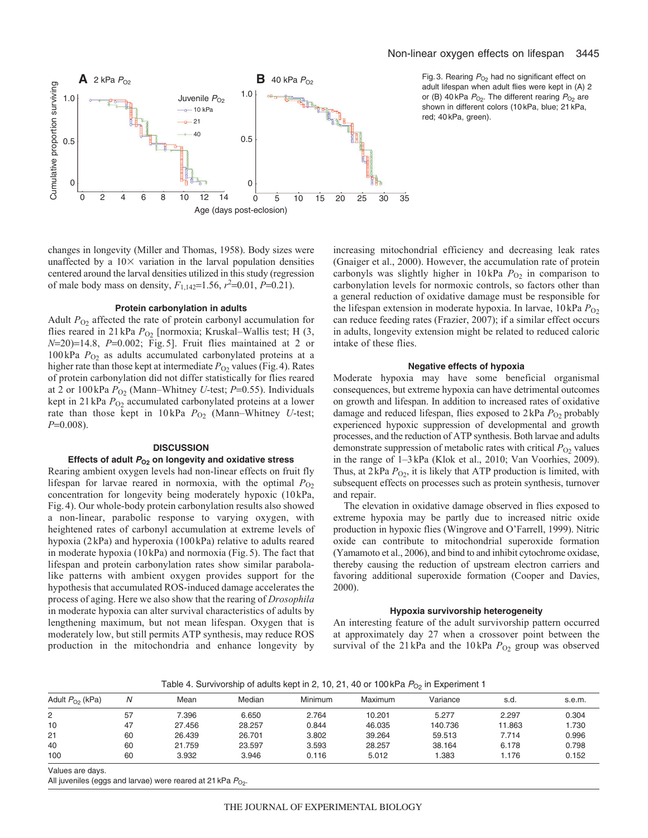## Non-linear oxygen effects on lifespan 3445



Fig. 3. Rearing  $P_{O_2}$  had no significant effect on adult lifespan when adult flies were kept in (A) 2 or (B) 40 kPa  $P_{O_2}$ . The different rearing  $P_{O_2}$  are shown in different colors (10 kPa, blue; 21 kPa, red; 40 kPa, green).

changes in longevity (Miller and Thomas, 1958). Body sizes were unaffected by a  $10\times$  variation in the larval population densities centered around the larval densities utilized in this study (regression of male body mass on density,  $F_{1,142} = 1.56$ ,  $r^2 = 0.01$ ,  $P = 0.21$ ).

## **Protein carbonylation in adults**

Adult  $P_{O_2}$  affected the rate of protein carbonyl accumulation for flies reared in 21 kPa  $P_{O2}$  [normoxia; Kruskal–Wallis test; H (3, *N*=20)=14.8, *P*=0.002; Fig. 5]. Fruit flies maintained at 2 or 100 kPa  $P_{O_2}$  as adults accumulated carbonylated proteins at a higher rate than those kept at intermediate  $P_{O2}$  values (Fig. 4). Rates of protein carbonylation did not differ statistically for flies reared at 2 or 100 kPa  $P_{O_2}$  (Mann–Whitney *U*-test; *P*=0.55). Individuals kept in 21 kPa  $P_{O2}$  accumulated carbonylated proteins at a lower rate than those kept in 10 kPa  $P_{O_2}$  (Mann–Whitney *U*-test; *P*=0.008).

## **DISCUSSION**

## Effects of adult  $P_{02}$  on longevity and oxidative stress

Rearing ambient oxygen levels had non-linear effects on fruit fly lifespan for larvae reared in normoxia, with the optimal  $P_{O2}$ concentration for longevity being moderately hypoxic (10kPa, Fig. 4). Our whole-body protein carbonylation results also showed a non-linear, parabolic response to varying oxygen, with heightened rates of carbonyl accumulation at extreme levels of hypoxia (2 kPa) and hyperoxia (100 kPa) relative to adults reared in moderate hypoxia (10 kPa) and normoxia (Fig. 5). The fact that lifespan and protein carbonylation rates show similar parabolalike patterns with ambient oxygen provides support for the hypothesis that accumulated ROS-induced damage accelerates the process of aging. Here we also show that the rearing of *Drosophila* in moderate hypoxia can alter survival characteristics of adults by lengthening maximum, but not mean lifespan. Oxygen that is moderately low, but still permits ATP synthesis, may reduce ROS production in the mitochondria and enhance longevity by increasing mitochondrial efficiency and decreasing leak rates (Gnaiger et al., 2000). However, the accumulation rate of protein carbonyls was slightly higher in  $10 \text{ kPa}$   $P_{O_2}$  in comparison to carbonylation levels for normoxic controls, so factors other than a general reduction of oxidative damage must be responsible for the lifespan extension in moderate hypoxia. In larvae,  $10 \text{ kPa } P_{\text{O}2}$ can reduce feeding rates (Frazier, 2007); if a similar effect occurs in adults, longevity extension might be related to reduced caloric intake of these flies.

# **Negative effects of hypoxia**

Moderate hypoxia may have some beneficial organismal consequences, but extreme hypoxia can have detrimental outcomes on growth and lifespan. In addition to increased rates of oxidative damage and reduced lifespan, flies exposed to 2kPa  $P_{O2}$  probably experienced hypoxic suppression of developmental and growth processes, and the reduction of ATP synthesis. Both larvae and adults demonstrate suppression of metabolic rates with critical  $P_{O_2}$  values in the range of 1–3kPa (Klok et al., 2010; Van Voorhies, 2009). Thus, at  $2kPa P_{O2}$ , it is likely that ATP production is limited, with subsequent effects on processes such as protein synthesis, turnover and repair.

The elevation in oxidative damage observed in flies exposed to extreme hypoxia may be partly due to increased nitric oxide production in hypoxic flies (Wingrove and O'Farrell, 1999). Nitric oxide can contribute to mitochondrial superoxide formation (Yamamoto et al., 2006), and bind to and inhibit cytochrome oxidase, thereby causing the reduction of upstream electron carriers and favoring additional superoxide formation (Cooper and Davies, 2000).

#### **Hypoxia survivorship heterogeneity**

An interesting feature of the adult survivorship pattern occurred at approximately day 27 when a crossover point between the survival of the 21 kPa and the 10 kPa  $P_{O2}$  group was observed

Table 4. Survivorship of adults kept in 2, 10, 21, 40 or 100 kPa  $P_{\text{O}_2}$  in Experiment 1

| Adult $P_{O2}$ (kPa) |    | Mean   | Median | <b>Minimum</b> | Maximum | Variance | s.d.   | s.e.m. |
|----------------------|----|--------|--------|----------------|---------|----------|--------|--------|
| 2                    | 57 | 7.396  | 6.650  | 2.764          | 10.201  | 5.277    | 2.297  | 0.304  |
| 10                   | 47 | 27.456 | 28.257 | 0.844          | 46.035  | 140.736  | 11.863 | .730   |
| 21                   | 60 | 26.439 | 26.701 | 3.802          | 39.264  | 59.513   | 7.714  | 0.996  |
| 40                   | 60 | 21.759 | 23.597 | 3.593          | 28.257  | 38.164   | 6.178  | 0.798  |
| 100                  | 60 | 3.932  | 3.946  | 0.116          | 5.012   | 1.383    | 1.176  | 0.152  |

Values are days.

All juveniles (eggs and larvae) were reared at 21 kPa  $P_{O_2}$ .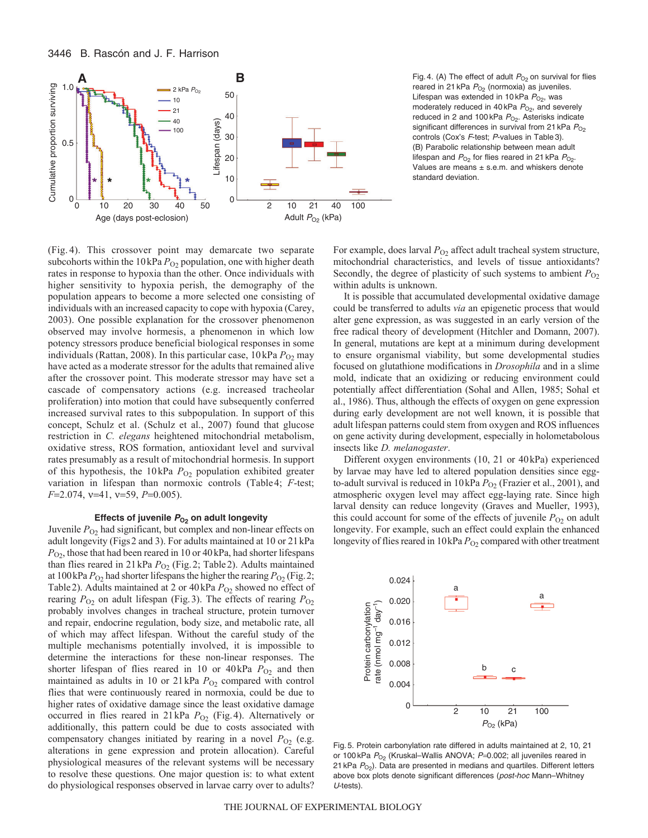

Fig. 4. (A) The effect of adult  $P<sub>O2</sub>$  on survival for flies reared in 21 kPa  $P_{O_2}$  (normoxia) as juveniles. Lifespan was extended in 10 kPa  $P_{O_2}$ , was moderately reduced in 40 kPa  $P_{O2}$ , and severely reduced in 2 and 100 kPa  $P_{O_2}$ . Asterisks indicate significant differences in survival from 21 kPa  $P_{O_2}$ controls (Cox's F-test; P-values in Table 3). (B) Parabolic relationship between mean adult lifespan and  $P_{O_2}$  for flies reared in 21 kPa  $P_{O_2}$ . Values are means  $\pm$  s.e.m. and whiskers denote standard deviation.

(Fig. 4). This crossover point may demarcate two separate subcohorts within the  $10 \text{ kPa } P_{O2}$  population, one with higher death rates in response to hypoxia than the other. Once individuals with higher sensitivity to hypoxia perish, the demography of the population appears to become a more selected one consisting of individuals with an increased capacity to cope with hypoxia (Carey, 2003). One possible explanation for the crossover phenomenon observed may involve hormesis, a phenomenon in which low potency stressors produce beneficial biological responses in some individuals (Rattan, 2008). In this particular case,  $10 \text{ kPa } P_{O2}$  may have acted as a moderate stressor for the adults that remained alive after the crossover point. This moderate stressor may have set a cascade of compensatory actions (e.g. increased tracheolar proliferation) into motion that could have subsequently conferred increased survival rates to this subpopulation. In support of this concept, Schulz et al. (Schulz et al., 2007) found that glucose restriction in *C. elegans* heightened mitochondrial metabolism, oxidative stress, ROS formation, antioxidant level and survival rates presumably as a result of mitochondrial hormesis. In support of this hypothesis, the  $10 \text{ kPa } P_{O2}$  population exhibited greater variation in lifespan than normoxic controls (Table4; *F*-test; *F*=2.074, *v*=41, *v*=59, *P*=0.005).

## Effects of juvenile  $P_{O_2}$  on adult longevity

Juvenile  $P_{O_2}$  had significant, but complex and non-linear effects on adult longevity (Figs2 and 3). For adults maintained at 10 or 21kPa *P*O2, those that had been reared in 10 or 40kPa, had shorter lifespans than flies reared in 21 kPa  $P_{O_2}$  (Fig. 2; Table 2). Adults maintained at 100 kPa  $P_{O2}$  had shorter lifespans the higher the rearing  $P_{O2}$  (Fig. 2; Table 2). Adults maintained at 2 or 40 kPa  $P_{O_2}$  showed no effect of rearing  $P_{O_2}$  on adult lifespan (Fig. 3). The effects of rearing  $P_{O_2}$ probably involves changes in tracheal structure, protein turnover and repair, endocrine regulation, body size, and metabolic rate, all of which may affect lifespan. Without the careful study of the multiple mechanisms potentially involved, it is impossible to determine the interactions for these non-linear responses. The shorter lifespan of flies reared in 10 or  $40kPa$   $P<sub>O2</sub>$  and then maintained as adults in 10 or  $21 \text{ kPa}$   $P_{O2}$  compared with control flies that were continuously reared in normoxia, could be due to higher rates of oxidative damage since the least oxidative damage occurred in flies reared in 21kPa  $P_{O2}$  (Fig.4). Alternatively or additionally, this pattern could be due to costs associated with compensatory changes initiated by rearing in a novel  $P_{O_2}$  (e.g. alterations in gene expression and protein allocation). Careful physiological measures of the relevant systems will be necessary to resolve these questions. One major question is: to what extent do physiological responses observed in larvae carry over to adults? For example, does larval  $P<sub>O2</sub>$  affect adult tracheal system structure, mitochondrial characteristics, and levels of tissue antioxidants? Secondly, the degree of plasticity of such systems to ambient  $P_{O2}$ within adults is unknown.

It is possible that accumulated developmental oxidative damage could be transferred to adults *via* an epigenetic process that would alter gene expression, as was suggested in an early version of the free radical theory of development (Hitchler and Domann, 2007). In general, mutations are kept at a minimum during development to ensure organismal viability, but some developmental studies focused on glutathione modifications in *Drosophila* and in a slime mold, indicate that an oxidizing or reducing environment could potentially affect differentiation (Sohal and Allen, 1985; Sohal et al., 1986). Thus, although the effects of oxygen on gene expression during early development are not well known, it is possible that adult lifespan patterns could stem from oxygen and ROS influences on gene activity during development, especially in holometabolous insects like *D. melanogaster*.

Different oxygen environments (10, 21 or 40kPa) experienced by larvae may have led to altered population densities since eggto-adult survival is reduced in 10kPa  $P_{O_2}$  (Frazier et al., 2001), and atmospheric oxygen level may affect egg-laying rate. Since high larval density can reduce longevity (Graves and Mueller, 1993), this could account for some of the effects of juvenile  $P_{O_2}$  on adult longevity. For example, such an effect could explain the enhanced longevity of flies reared in 10kPa  $P_{O2}$  compared with other treatment



Fig. 5. Protein carbonylation rate differed in adults maintained at 2, 10, 21 or 100 kPa  $P_{O_2}$  (Kruskal–Wallis ANOVA;  $P=0.002$ ; all juveniles reared in 21 kPa  $P_{\text{O}_2}$ ). Data are presented in medians and quartiles. Different letters above box plots denote significant differences (post-hoc Mann–Whitney U-tests).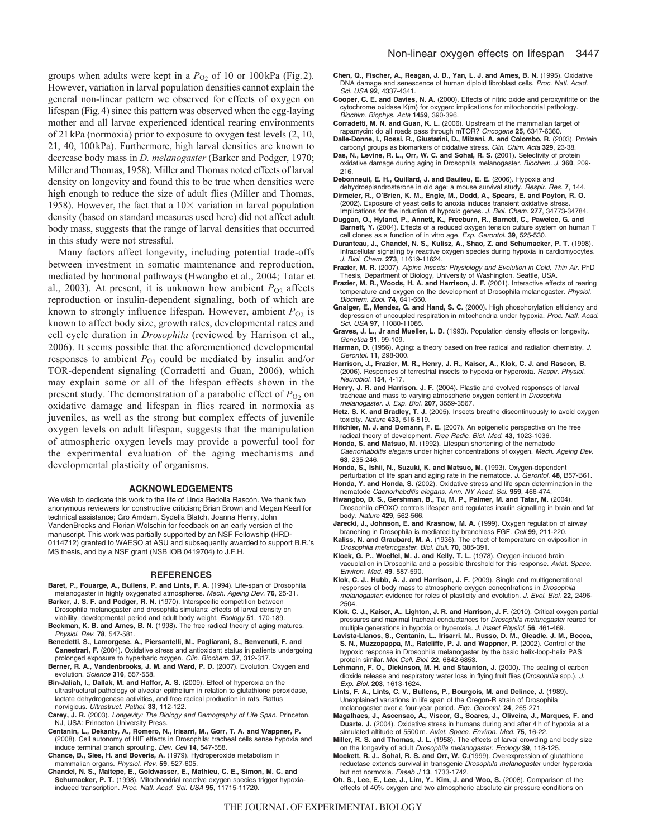groups when adults were kept in a  $P<sub>O2</sub>$  of 10 or 100kPa (Fig. 2). However, variation in larval population densities cannot explain the general non-linear pattern we observed for effects of oxygen on lifespan (Fig.4) since this pattern was observed when the egg-laying mother and all larvae experienced identical rearing environments of 21kPa (normoxia) prior to exposure to oxygen test levels (2, 10, 21, 40, 100kPa). Furthermore, high larval densities are known to decrease body mass in *D. melanogaster* (Barker and Podger, 1970; Miller and Thomas, 1958). Miller and Thomas noted effects of larval density on longevity and found this to be true when densities were high enough to reduce the size of adult flies (Miller and Thomas, 1958). However, the fact that a  $10\times$  variation in larval population density (based on standard measures used here) did not affect adult body mass, suggests that the range of larval densities that occurred in this study were not stressful.

Many factors affect longevity, including potential trade-offs between investment in somatic maintenance and reproduction, mediated by hormonal pathways (Hwangbo et al., 2004; Tatar et al., 2003). At present, it is unknown how ambient  $P_{\text{O}2}$  affects reproduction or insulin-dependent signaling, both of which are known to strongly influence lifespan. However, ambient  $P_{O<sub>2</sub>}$  is known to affect body size, growth rates, developmental rates and cell cycle duration in *Drosophila* (reviewed by Harrison et al., 2006). It seems possible that the aforementioned developmental responses to ambient  $P_{O_2}$  could be mediated by insulin and/or TOR-dependent signaling (Corradetti and Guan, 2006), which may explain some or all of the lifespan effects shown in the present study. The demonstration of a parabolic effect of  $P<sub>O2</sub>$  on oxidative damage and lifespan in flies reared in normoxia as juveniles, as well as the strong but complex effects of juvenile oxygen levels on adult lifespan, suggests that the manipulation of atmospheric oxygen levels may provide a powerful tool for the experimental evaluation of the aging mechanisms and developmental plasticity of organisms.

#### **ACKNOWLEDGEMENTS**

We wish to dedicate this work to the life of Linda Bedolla Rascón. We thank two anonymous reviewers for constructive criticism; Brian Brown and Megan Kearl for technical assistance; Gro Amdam, Sydella Blatch, Joanna Henry, John VandenBrooks and Florian Wolschin for feedback on an early version of the manuscript. This work was partially supported by an NSF Fellowship (HRD-0114712) granted to WAESO at ASU and subsequently awarded to support B.R.'s MS thesis, and by a NSF grant (NSB IOB 0419704) to J.F.H.

#### **REFERENCES**

- **Baret, P., Fouarge, A., Bullens, P. and Lints, F. A.** (1994). Life-span of Drosophila melanogaster in highly oxygenated atmospheres. Mech. Ageing Dev. **76**, 25-31.
- **Barker, J. S. F. and Podger, R. N.** (1970). Interspecific competition between Drosophila melanogaster and drosophila simulans: effects of larval density on viability, developmental period and adult body weight. Ecology **51**, 170-189.
- **Beckman, K. B. and Ames, B. N.** (1998). The free radical theory of aging matures. Physiol. Rev. **78**, 547-581.
- **Benedetti, S., Lamorgese, A., Piersantelli, M., Pagliarani, S., Benvenuti, F. and Canestrari, F.** (2004). Oxidative stress and antioxidant status in patients undergoing prolonged exposure to hyperbaric oxygen. Clin. Biochem. **37**, 312-317.
- **Berner, R. A., Vandenbrooks, J. M. and Ward, P. D.** (2007). Evolution. Oxygen and evolution. Science **316**, 557-558.
- **Bin-Jaliah, I., Dallak, M. and Haffor, A. S.** (2009). Effect of hyperoxia on the ultrastructural pathology of alveolar epithelium in relation to glutathione peroxidase, lactate dehydrogenase activities, and free radical production in rats, Rattus norvigicus. Ultrastruct. Pathol. **33**, 112-122.
- **Carey, J. R.** (2003). Longevity: The Biology and Demography of Life Span. Princeton, NJ, USA: Princeton University Press.
- **Centanin, L., Dekanty, A., Romero, N., Irisarri, M., Gorr, T. A. and Wappner, P.** (2008). Cell autonomy of HIF effects in Drosophila: tracheal cells sense hypoxia and induce terminal branch sprouting. Dev. Cell **14**, 547-558.
- **Chance, B., Sies, H. and Boveris, A.** (1979). Hydroperoxide metabolism in mammalian organs. Physiol. Rev. **59**, 527-605.
- **Chandel, N. S., Maltepe, E., Goldwasser, E., Mathieu, C. E., Simon, M. C. and** Schumacker, P. T. (1998). Mitochondrial reactive oxygen species trigger hypoxiainduced transcription. Proc. Natl. Acad. Sci. USA **95**, 11715-11720.
- **Chen, Q., Fischer, A., Reagan, J. D., Yan, L. J. and Ames, B. N.** (1995). Oxidative DNA damage and senescence of human diploid fibroblast cells. Proc. Natl. Acad. Sci. USA **92**, 4337-4341.
- **Cooper, C. E. and Davies, N. A.** (2000). Effects of nitric oxide and peroxynitrite on the cytochrome oxidase K(m) for oxygen: implications for mitochondrial pathology. Biochim. Biophys. Acta **1459**, 390-396.
- **Corradetti, M. N. and Guan, K. L.** (2006). Upstream of the mammalian target of rapamycin: do all roads pass through mTOR? Oncogene **25**, 6347-6360.
- **Dalle-Donne, I., Rossi, R., Giustarini, D., Milzani, A. and Colombo, R.** (2003). Protein carbonyl groups as biomarkers of oxidative stress. Clin. Chim. Acta **329**, 23-38.
- **Das, N., Levine, R. L., Orr, W. C. and Sohal, R. S.** (2001). Selectivity of protein oxidative damage during aging in Drosophila melanogaster. Biochem. J. **360**, 209- 216.
- **Debonneuil, E. H., Quillard, J. and Baulieu, E. E.** (2006). Hypoxia and
- dehydroepiandrosterone in old age: a mouse survival study. Respir. Res. **7**, 144. **Dirmeier, R., O'Brien, K. M., Engle, M., Dodd, A., Spears, E. and Poyton, R. O.** (2002). Exposure of yeast cells to anoxia induces transient oxidative stress.
- Implications for the induction of hypoxic genes. J. Biol. Chem. **277**, 34773-34784. **Duggan, O., Hyland, P., Annett, K., Freeburn, R., Barnett, C., Pawelec, G. and**
- **Barnett, Y.** (2004). Effects of a reduced oxygen tension culture system on human T cell clones as a function of in vitro age. Exp. Gerontol. **39**, 525-530.
- **Duranteau, J., Chandel, N. S., Kulisz, A., Shao, Z. and Schumacker, P. T.** (1998). Intracellular signaling by reactive oxygen species during hypoxia in cardiomyocytes. J. Biol. Chem. **273**, 11619-11624.
- **Frazier, M. R.** (2007). Alpine Insects: Physiology and Evolution in Cold, Thin Air. PhD Thesis, Department of Biology, University of Washington, Seattle, USA.
- **Frazier, M. R., Woods, H. A. and Harrison, J. F.** (2001). Interactive effects of rearing temperature and oxygen on the development of Drosophila melanogaster. Physiol. Biochem. Zool. **74**, 641-650.
- **Gnaiger, E., Mendez, G. and Hand, S. C.** (2000). High phosphorylation efficiency and depression of uncoupled respiration in mitochondria under hypoxia. Proc. Natl. Acad. Sci. USA **97**, 11080-11085.
- **Graves, J. L., Jr and Mueller, L. D.** (1993). Population density effects on longevity. Genetica **91**, 99-109.
- Harman, D. (1956). Aging: a theory based on free radical and radiation chemistry. J. Gerontol. **11**, 298-300.
- **Harrison, J., Frazier, M. R., Henry, J. R., Kaiser, A., Klok, C. J. and Rascon, B.** (2006). Responses of terrestrial insects to hypoxia or hyperoxia. Respir. Physiol. Neurobiol. **154**, 4-17.
- **Henry, J. R. and Harrison, J. F.** (2004). Plastic and evolved responses of larval tracheae and mass to varying atmospheric oxygen content in Drosophila melanogaster. J. Exp. Biol. **207**, 3559-3567.
- **Hetz, S. K. and Bradley, T. J.** (2005). Insects breathe discontinuously to avoid oxygen toxicity. Nature **433**, 516-519.
- **Hitchler, M. J. and Domann, F. E.** (2007). An epigenetic perspective on the free radical theory of development. Free Radic. Biol. Med. **43**, 1023-1036.
- **Honda, S. and Matsuo, M.** (1992). Lifespan shortening of the nematode Caenorhabditis elegans under higher concentrations of oxygen. Mech. Ageing Dev. **63**, 235-246.
- **Honda, S., Ishii, N., Suzuki, K. and Matsuo, M.** (1993). Oxygen-dependent perturbation of life span and aging rate in the nematode. J. Gerontol. **48**, B57-B61.
- **Honda, Y. and Honda, S.** (2002). Oxidative stress and life span determination in the nematode Caenorhabditis elegans. Ann. NY Acad. Sci. **959**, 466-474.
- **Hwangbo, D. S., Gershman, B., Tu, M. P., Palmer, M. and Tatar, M.** (2004). Drosophila dFOXO controls lifespan and regulates insulin signalling in brain and fat body. Nature **429**, 562-566.
- **Jarecki, J., Johnson, E. and Krasnow, M. A.** (1999). Oxygen regulation of airway
- branching in Drosophila is mediated by branchless FGF. Cell **99**, 211-220. **Kaliss, N. and Graubard, M. A.** (1936). The effect of temperature on oviposition in Drosophila melanogaster. Biol. Bull. **70**, 385-391.
- **Kloek, G. P., Woelfel, M. J. and Kelly, T. L.** (1978). Oxygen-induced brain vacuolation in Drosophila and a possible threshold for this response. Aviat. Space. Environ. Med. **49**, 587-590.
- **Klok, C. J., Hubb, A. J. and Harrison, J. F.** (2009). Single and multigenerational responses of body mass to atmospheric oxygen concentrations in Drosophila melanogaster: evidence for roles of plasticity and evolution. J. Evol. Biol. **22**, 2496- 2504.
- **Klok, C. J., Kaiser, A., Lighton, J. R. and Harrison, J. F.** (2010). Critical oxygen partial pressures and maximal tracheal conductances for Drosophila melanogaster reared for multiple generations in hypoxia or hyperoxia. J. Insect Physiol. **56**, 461-469.
- **Lavista-Llanos, S., Centanin, L., Irisarri, M., Russo, D. M., Gleadle, J. M., Bocca, S. N., Muzzopappa, M., Ratcliffe, P. J. and Wappner, P.** (2002). Control of the hypoxic response in Drosophila melanogaster by the basic helix-loop-helix PAS protein similar. Mol. Cell. Biol. **22**, 6842-6853.
- **Lehmann, F. O., Dickinson, M. H. and Staunton, J.** (2000). The scaling of carbon dioxide release and respiratory water loss in flying fruit flies (Drosophila spp.). J. Exp. Biol. **203**, 1613-1624.
- **Lints, F. A., Lints, C. V., Bullens, P., Bourgois, M. and Delince, J.** (1989). Unexplained variations in life span of the Oregon-R strain of Drosophila melanogaster over a four-year period. Exp. Gerontol. **24**, 265-271.
- **Magalhaes, J., Ascensao, A., Viscor, G., Soares, J., Oliveira, J., Marques, F. and Duarte, J.** (2004). Oxidative stress in humans during and after 4 h of hypoxia at a simulated altitude of 5500 m. Aviat. Space. Environ. Med. **75**, 16-22.
- **Miller, R. S. and Thomas, J. L.** (1958). The effects of larval crowding and body size on the longevity of adult Drosophila melanogaster. Ecology **39**, 118-125.
- **Mockett, R. J., Sohal, R. S. and Orr, W. C.**(1999). Overexpression of glutathione reductase extends survival in transgenic Drosophila melanogaster under hyperoxia but not normoxia. Faseb J **13**, 1733-1742.
- **Oh, S., Lee, E., Lee, J., Lim, Y., Kim, J. and Woo, S.** (2008). Comparison of the effects of 40% oxygen and two atmospheric absolute air pressure conditions on